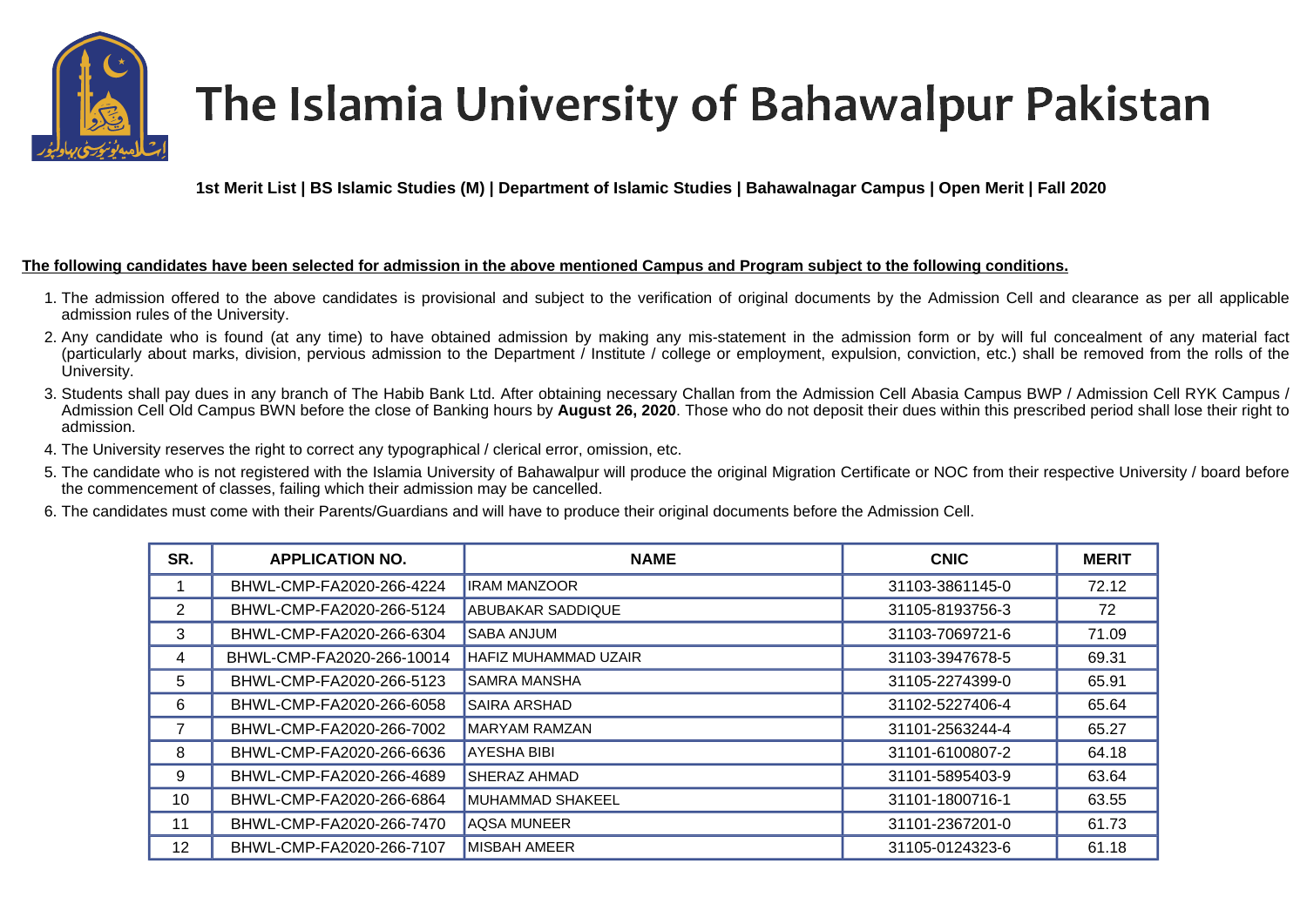

## The Islamia University of Bahawalpur Pakistan

**1st Merit List | BS Islamic Studies (M) | Department of Islamic Studies | Bahawalnagar Campus | Open Merit | Fall 2020** 

## **The following candidates have been selected for admission in the above mentioned Campus and Program subject to the following conditions.**

- 1. The admission offered to the above candidates is provisional and subject to the verification of original documents by the Admission Cell and clearance as per all applicable admission rules of the University.
- 2. Any candidate who is found (at any time) to have obtained admission by making any mis-statement in the admission form or by will ful concealment of any material fact (particularly about marks, division, pervious admission to the Department / Institute / college or employment, expulsion, conviction, etc.) shall be removed from the rolls of the University.
- 3. Students shall pay dues in any branch of The Habib Bank Ltd. After obtaining necessary Challan from the Admission Cell Abasia Campus BWP / Admission Cell RYK Campus / Admission Cell Old Campus BWN before the close of Banking hours by **August 26, 2020**. Those who do not deposit their dues within this prescribed period shall lose their right to admission.
- 4. The University reserves the right to correct any typographical / clerical error, omission, etc.
- 5. The candidate who is not registered with the Islamia University of Bahawalpur will produce the original Migration Certificate or NOC from their respective University / board before the commencement of classes, failing which their admission may be cancelled.
- 6. The candidates must come with their Parents/Guardians and will have to produce their original documents before the Admission Cell.

| SR. | <b>APPLICATION NO.</b>    | <b>NAME</b>                 | <b>CNIC</b>     | <b>MERIT</b> |
|-----|---------------------------|-----------------------------|-----------------|--------------|
|     | BHWL-CMP-FA2020-266-4224  | <b>IRAM MANZOOR</b>         | 31103-3861145-0 | 72.12        |
| 2   | BHWL-CMP-FA2020-266-5124  | <b>ABUBAKAR SADDIQUE</b>    | 31105-8193756-3 | 72           |
| 3   | BHWL-CMP-FA2020-266-6304  | <b>SABA ANJUM</b>           | 31103-7069721-6 | 71.09        |
| 4   | BHWL-CMP-FA2020-266-10014 | <b>HAFIZ MUHAMMAD UZAIR</b> | 31103-3947678-5 | 69.31        |
| 5   | BHWL-CMP-FA2020-266-5123  | <b>SAMRA MANSHA</b>         | 31105-2274399-0 | 65.91        |
| 6   | BHWL-CMP-FA2020-266-6058  | <b>SAIRA ARSHAD</b>         | 31102-5227406-4 | 65.64        |
|     | BHWL-CMP-FA2020-266-7002  | MARYAM RAMZAN               | 31101-2563244-4 | 65.27        |
| 8   | BHWL-CMP-FA2020-266-6636  | <b>AYESHA BIBI</b>          | 31101-6100807-2 | 64.18        |
| 9   | BHWL-CMP-FA2020-266-4689  | SHERAZ AHMAD                | 31101-5895403-9 | 63.64        |
| 10  | BHWL-CMP-FA2020-266-6864  | MUHAMMAD SHAKEEL            | 31101-1800716-1 | 63.55        |
| 11  | BHWL-CMP-FA2020-266-7470  | <b>AQSA MUNEER</b>          | 31101-2367201-0 | 61.73        |
| 12  | BHWL-CMP-FA2020-266-7107  | <b>MISBAH AMEER</b>         | 31105-0124323-6 | 61.18        |